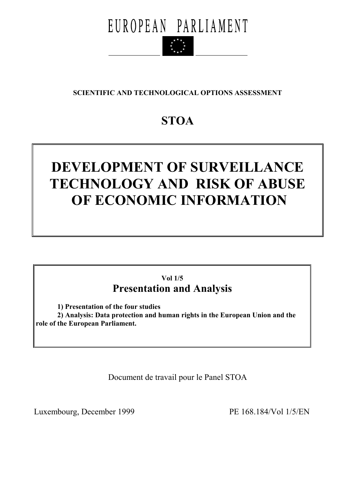

## **SCIENTIFIC AND TECHNOLOGICAL OPTIONS ASSESSMENT**

## **STOA**

# **DEVELOPMENT OF SURVEILLANCE TECHNOLOGY AND RISK OF ABUSE OF ECONOMIC INFORMATION**

## **Vol 1/5 Presentation and Analysis**

 **1) Presentation of the four studies** 

 **2) Analysis: Data protection and human rights in the European Union and the role of the European Parliament.** 

Document de travail pour le Panel STOA

Luxembourg, December 1999 PE 168.184/Vol 1/5/EN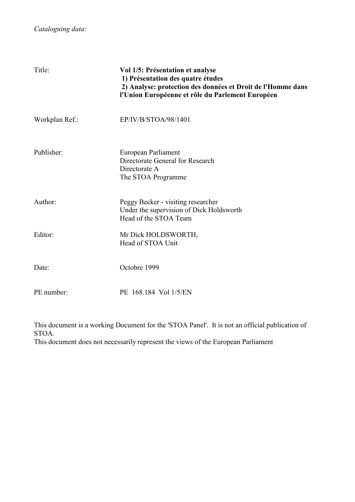| Title:         | Vol 1/5: Présentation et analyse<br>1) Présentation des quatre études<br>2) Analyse: protection des données et Droit de l'Homme dans<br>l'Union Européenne et rôle du Parlement Européen |
|----------------|------------------------------------------------------------------------------------------------------------------------------------------------------------------------------------------|
| Workplan Ref.: | EP/IV/B/STOA/98/1401                                                                                                                                                                     |
| Publisher:     | European Parliament<br>Directorate General for Research<br>Directorate A<br>The STOA Programme                                                                                           |
| Author:        | Peggy Becker - visiting researcher<br>Under the supervision of Dick Holdsworth<br>Head of the STOA Team                                                                                  |
| Editor:        | Mr Dick HOLDSWORTH,<br>Head of STOA Unit                                                                                                                                                 |
| Date:          | Octobre 1999                                                                                                                                                                             |
| PE number:     | PE 168.184 Vol 1/5/EN                                                                                                                                                                    |

This document is a working Document for the 'STOA Panel'. It is not an official publication of STOA.

This document does not necessarily represent the views of the European Parliament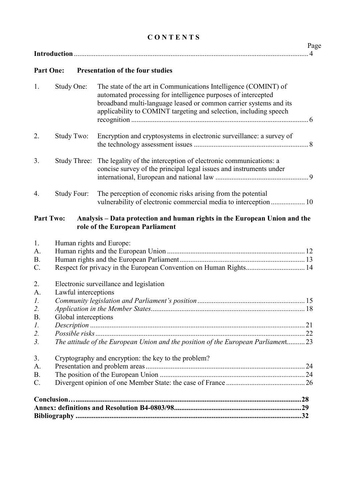## **C O N T E N T S**

## **Part One: Presentation of the four studies**

| 1.              | Study One:               | The state of the art in Communications Intelligence (COMINT) of<br>automated processing for intelligence purposes of intercepted<br>broadband multi-language leased or common carrier systems and its<br>applicability to COMINT targeting and selection, including speech |  |  |
|-----------------|--------------------------|----------------------------------------------------------------------------------------------------------------------------------------------------------------------------------------------------------------------------------------------------------------------------|--|--|
| 2.              | Study Two:               | Encryption and cryptosystems in electronic surveillance: a survey of                                                                                                                                                                                                       |  |  |
| 3.              | <b>Study Three:</b>      | The legality of the interception of electronic communications: a<br>concise survey of the principal legal issues and instruments under                                                                                                                                     |  |  |
| 4.              | Study Four:              | The perception of economic risks arising from the potential<br>vulnerability of electronic commercial media to interception  10                                                                                                                                            |  |  |
|                 | <b>Part Two:</b>         | Analysis - Data protection and human rights in the European Union and the<br>role of the European Parliament                                                                                                                                                               |  |  |
| 1.              | Human rights and Europe: |                                                                                                                                                                                                                                                                            |  |  |
| A.              |                          |                                                                                                                                                                                                                                                                            |  |  |
| <b>B.</b>       |                          |                                                                                                                                                                                                                                                                            |  |  |
| $C$ .           |                          | Respect for privacy in the European Convention on Human Rights 14                                                                                                                                                                                                          |  |  |
| 2.<br>A.        | Lawful interceptions     | Electronic surveillance and legislation                                                                                                                                                                                                                                    |  |  |
| $\mathcal{I}$ . |                          |                                                                                                                                                                                                                                                                            |  |  |
| 2.              |                          |                                                                                                                                                                                                                                                                            |  |  |
| <b>B.</b>       | Global interceptions     |                                                                                                                                                                                                                                                                            |  |  |
| $\mathcal{I}$ . |                          |                                                                                                                                                                                                                                                                            |  |  |
| 2.              |                          |                                                                                                                                                                                                                                                                            |  |  |
| 3.              |                          | The attitude of the European Union and the position of the European Parliament23                                                                                                                                                                                           |  |  |
| 3.              |                          | Cryptography and encryption: the key to the problem?                                                                                                                                                                                                                       |  |  |
| A.              |                          |                                                                                                                                                                                                                                                                            |  |  |
| <b>B.</b>       |                          |                                                                                                                                                                                                                                                                            |  |  |
| $C$ .           |                          |                                                                                                                                                                                                                                                                            |  |  |
|                 |                          |                                                                                                                                                                                                                                                                            |  |  |
|                 |                          |                                                                                                                                                                                                                                                                            |  |  |
|                 |                          |                                                                                                                                                                                                                                                                            |  |  |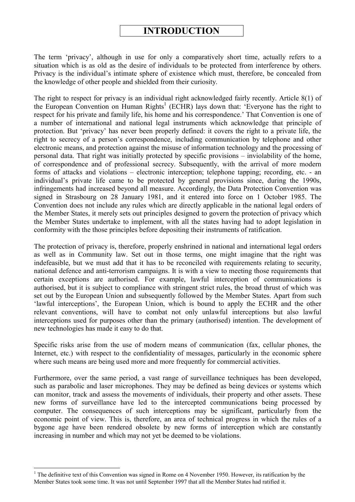## **INTRODUCTION**

The term 'privacy', although in use for only a comparatively short time, actually refers to a situation which is as old as the desire of individuals to be protected from interference by others. Privacy is the individual's intimate sphere of existence which must, therefore, be concealed from the knowledge of other people and shielded from their curiosity.

The right to respect for privacy is an individual right acknowledged fairly recently. Article 8(1) of the European Convention on Human Rights<sup>1</sup> (ECHR) lays down that: 'Everyone has the right to respect for his private and family life, his home and his correspondence.' That Convention is one of a number of international and national legal instruments which acknowledge that principle of protection. But 'privacy' has never been properly defined: it covers the right to a private life, the right to secrecy of a person's correspondence, including communication by telephone and other electronic means, and protection against the misuse of information technology and the processing of personal data. That right was initially protected by specific provisions – inviolability of the home, of correspondence and of professional secrecy. Subsequently, with the arrival of more modern forms of attacks and violations – electronic interception; telephone tapping; recording, etc. - an individual's private life came to be protected by general provisions since, during the 1990s, infringements had increased beyond all measure. Accordingly, the Data Protection Convention was signed in Strasbourg on 28 January 1981, and it entered into force on 1 October 1985. The Convention does not include any rules which are directly applicable in the national legal orders of the Member States, it merely sets out principles designed to govern the protection of privacy which the Member States undertake to implement, with all the states having had to adopt legislation in conformity with the those principles before depositing their instruments of ratification.

The protection of privacy is, therefore, properly enshrined in national and international legal orders as well as in Community law. Set out in those terms, one might imagine that the right was indefeasible, but we must add that it has to be reconciled with requirements relating to security, national defence and anti-terrorism campaigns. It is with a view to meeting those requirements that certain exceptions are authorised. For example, lawful interception of communications is authorised, but it is subject to compliance with stringent strict rules, the broad thrust of which was set out by the European Union and subsequently followed by the Member States. Apart from such 'lawful interceptions', the European Union, which is bound to apply the ECHR and the other relevant conventions, will have to combat not only unlawful interceptions but also lawful interceptions used for purposes other than the primary (authorised) intention. The development of new technologies has made it easy to do that.

Specific risks arise from the use of modern means of communication (fax, cellular phones, the Internet, etc.) with respect to the confidentiality of messages, particularly in the economic sphere where such means are being used more and more frequently for commercial activities.

Furthermore, over the same period, a vast range of surveillance techniques has been developed, such as parabolic and laser microphones. They may be defined as being devices or systems which can monitor, track and assess the movements of individuals, their property and other assets. These new forms of surveillance have led to the intercepted communications being processed by computer. The consequences of such interceptions may be significant, particularly from the economic point of view. This is, therefore, an area of technical progress in which the rules of a bygone age have been rendered obsolete by new forms of interception which are constantly increasing in number and which may not yet be deemed to be violations.

 $1$ <sup>1</sup> The definitive text of this Convention was signed in Rome on 4 November 1950. However, its ratification by the Member States took some time. It was not until September 1997 that all the Member States had ratified it.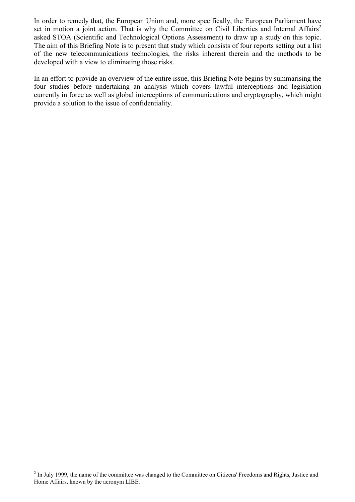In order to remedy that, the European Union and, more specifically, the European Parliament have set in motion a joint action. That is why the Committee on Civil Liberties and Internal Affairs<sup>2</sup> asked STOA (Scientific and Technological Options Assessment) to draw up a study on this topic. The aim of this Briefing Note is to present that study which consists of four reports setting out a list of the new telecommunications technologies, the risks inherent therein and the methods to be developed with a view to eliminating those risks.

In an effort to provide an overview of the entire issue, this Briefing Note begins by summarising the four studies before undertaking an analysis which covers lawful interceptions and legislation currently in force as well as global interceptions of communications and cryptography, which might provide a solution to the issue of confidentiality.

 $2$  In July 1999, the name of the committee was changed to the Committee on Citizens' Freedoms and Rights, Justice and Home Affairs, known by the acronym LIBE.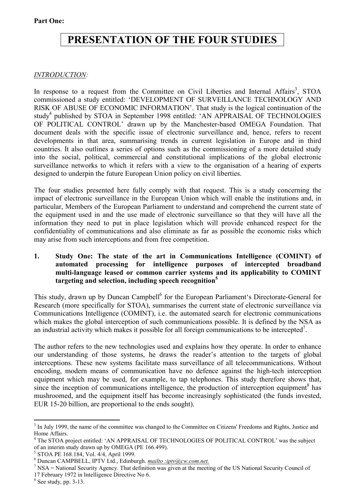## **PRESENTATION OF THE FOUR STUDIES**

## *INTRODUCTION:*

In response to a request from the Committee on Civil Liberties and Internal Affairs<sup>3</sup>, STOA commissioned a study entitled: ëDEVELOPMENT OF SURVEILLANCE TECHNOLOGY AND RISK OF ABUSE OF ECONOMIC INFORMATION<sup>7</sup>. That study is the logical continuation of the study<sup>4</sup> published by STOA in September 1998 entitled: 'AN APPRAISAL OF TECHNOLOGIES OF POLITICAL CONTROL' drawn up by the Manchester-based OMEGA Foundation. That document deals with the specific issue of electronic surveillance and, hence, refers to recent developments in that area, summarising trends in current legislation in Europe and in third countries. It also outlines a series of options such as the commissioning of a more detailed study into the social, political, commercial and constitutional implications of the global electronic surveillance networks to which it refers with a view to the organisation of a hearing of experts designed to underpin the future European Union policy on civil liberties.

The four studies presented here fully comply with that request. This is a study concerning the impact of electronic surveillance in the European Union which will enable the institutions and, in particular, Members of the European Parliament to understand and comprehend the current state of the equipment used in and the use made of electronic surveillance so that they will have all the information they need to put in place legislation which will provide enhanced respect for the confidentiality of communications and also eliminate as far as possible the economic risks which may arise from such interceptions and from free competition.

#### **1. Study One: The state of the art in Communications Intelligence (COMINT) of automated processing for intelligence purposes of intercepted broadband multi-language leased or common carrier systems and its applicability to COMINT targeting and selection, including speech recognition5**

This study, drawn up by Duncan Campbell<sup>6</sup> for the European Parliament's Directorate-General for Research (more specifically for STOA), summarises the current state of electronic surveillance via Communications Intelligence (COMINT), i.e. the automated search for electronic communications which makes the global interception of such communications possible. It is defined by the NSA as an industrial activity which makes it possible for all foreign communications to be intercepted<sup>7</sup>.

The author refers to the new technologies used and explains how they operate. In order to enhance our understanding of those systems, he draws the reader's attention to the targets of global interceptions. These new systems facilitate mass surveillance of all telecommunications. Without encoding, modern means of communication have no defence against the high-tech interception equipment which may be used, for example, to tap telephones. This study therefore shows that, since the inception of communications intelligence, the production of interception equipment<sup>8</sup> has mushroomed, and the equipment itself has become increasingly sophisticated (the funds invested, EUR 15-20 billion, are proportional to the ends sought).

 $\overline{a}$  $3$  In July 1999, the name of the committee was changed to the Committee on Citizens' Freedoms and Rights, Justice and Home Affairs.

<sup>&</sup>lt;sup>4</sup> The STOA project entitled: 'AN APPRAISAL OF TECHNOLOGIES OF POLITICAL CONTROL' was the subject of an interim study drawn up by OMEGA (PE 166.499).

<sup>5</sup> STOA PE 168.184, Vol. 4/4, April 1999.

 $^6$  Duncan CAMPBELL, IPTV Ltd., Edinburgh. *mailto :iptv@cw.com.net.*<br><sup>7</sup> NSA – National Sequrity Agency. That definition was given at the meeting

 $\frac{7}{1}$  NSA = National Security Agency. That definition was given at the meeting of the US National Security Council of 17 February 1972 in Intelligence Directive No 6.

 $8$  See study, pp. 3-13.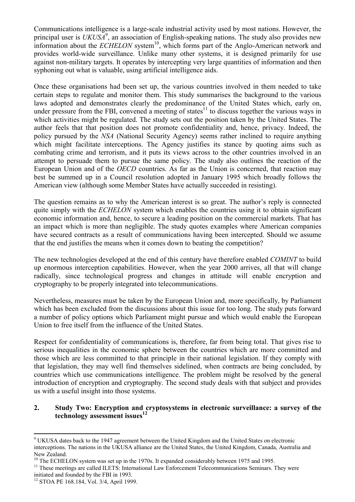Communications intelligence is a large-scale industrial activity used by most nations. However, the principal user is  $UKUSA<sup>9</sup>$ , an association of English-speaking nations. The study also provides new information about the *ECHELON* system<sup>10</sup>, which forms part of the Anglo-American network and provides world-wide surveillance. Unlike many other systems, it is designed primarily for use against non-military targets. It operates by intercepting very large quantities of information and then syphoning out what is valuable, using artificial intelligence aids.

Once these organisations had been set up, the various countries involved in them needed to take certain steps to regulate and monitor them. This study summarises the background to the various laws adopted and demonstrates clearly the predominance of the United States which, early on, under pressure from the FBI, convened a meeting of states<sup>11</sup> to discuss together the various ways in which activities might be regulated. The study sets out the position taken by the United States. The author feels that that position does not promote confidentiality and, hence, privacy. Indeed, the policy pursued by the *NSA* (National Security Agency) seems rather inclined to require anything which might facilitate interceptions. The Agency justifies its stance by quoting aims such as combating crime and terrorism, and it puts its views across to the other countries involved in an attempt to persuade them to pursue the same policy. The study also outlines the reaction of the European Union and of the *OECD* countries. As far as the Union is concerned, that reaction may best be summed up in a Council resolution adopted in January 1995 which broadly follows the American view (although some Member States have actually succeeded in resisting).

The question remains as to why the American interest is so great. The author's reply is connected quite simply with the *ECHELON* system which enables the countries using it to obtain significant economic information and, hence, to secure a leading position on the commercial markets. That has an impact which is more than negligible. The study quotes examples where American companies have secured contracts as a result of communications having been intercepted. Should we assume that the end justifies the means when it comes down to beating the competition?

The new technologies developed at the end of this century have therefore enabled *COMINT* to build up enormous interception capabilities. However, when the year 2000 arrives, all that will change radically, since technological progress and changes in attitude will enable encryption and cryptography to be properly integrated into telecommunications.

Nevertheless, measures must be taken by the European Union and, more specifically, by Parliament which has been excluded from the discussions about this issue for too long. The study puts forward a number of policy options which Parliament might pursue and which would enable the European Union to free itself from the influence of the United States.

Respect for confidentiality of communications is, therefore, far from being total. That gives rise to serious inequalities in the economic sphere between the countries which are more committed and those which are less committed to that principle in their national legislation. If they comply with that legislation, they may well find themselves sidelined, when contracts are being concluded, by countries which use communications intelligence. The problem might be resolved by the general introduction of encryption and cryptography. The second study deals with that subject and provides us with a useful insight into those systems.

#### **2. Study Two: Encryption and cryptosystems in electronic surveillance: a survey of the technology assessment issues<sup>12</sup>**

<sup>&</sup>lt;sup>9</sup> UKUSA dates back to the 1947 agreement between the United Kingdom and the United States on electronic interceptions. The nations in the UKUSA alliance are the United States, the United Kingdom, Canada, Australia and New Zealand.

 $10$  The ECHELON system was set up in the 1970s. It expanded considerably between 1975 and 1995.

<sup>&</sup>lt;sup>11</sup> These meetings are called ILETS: International Law Enforcement Telecommunications Seminars. They were initiated and founded by the FBI in 1993.

<sup>12</sup> STOA PE 168.184, Vol. 3/4, April 1999.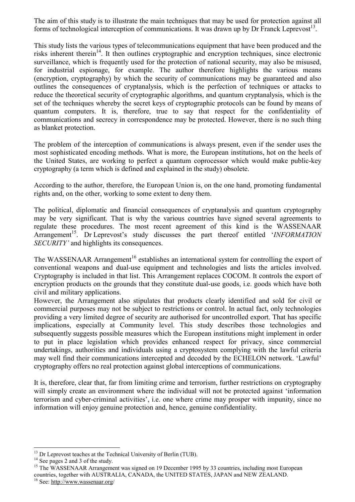The aim of this study is to illustrate the main techniques that may be used for protection against all forms of technological interception of communications. It was drawn up by Dr Franck Leprevost<sup>13</sup>.

This study lists the various types of telecommunications equipment that have been produced and the risks inherent therein<sup>14</sup>. It then outlines cryptographic and encryption techniques, since electronic surveillance, which is frequently used for the protection of national security, may also be misused, for industrial espionage, for example. The author therefore highlights the various means (encryption, cryptography) by which the security of communications may be guaranteed and also outlines the consequences of cryptanalysis, which is the perfection of techniques or attacks to reduce the theoretical security of cryptographic algorithms, and quantum cryptanalysis, which is the set of the techniques whereby the secret keys of cryptographic protocols can be found by means of quantum computers. It is, therefore, true to say that respect for the confidentiality of communications and secrecy in correspondence may be protected. However, there is no such thing as blanket protection.

The problem of the interception of communications is always present, even if the sender uses the most sophisticated encoding methods. What is more, the European institutions, hot on the heels of the United States, are working to perfect a quantum coprocessor which would make public-key cryptography (a term which is defined and explained in the study) obsolete.

According to the author, therefore, the European Union is, on the one hand, promoting fundamental rights and, on the other, working to some extent to deny them.

The political, diplomatic and financial consequences of cryptanalysis and quantum cryptography may be very significant. That is why the various countries have signed several agreements to regulate these procedures. The most recent agreement of this kind is the WASSENAAR Arrangement<sup>15</sup>. Dr Leprevost's study discusses the part thereof entitled '*INFORMATION SECURITY*' and highlights its consequences.

The WASSENAAR Arrangement<sup>16</sup> establishes an international system for controlling the export of conventional weapons and dual-use equipment and technologies and lists the articles involved. Cryptography is included in that list. This Arrangement replaces COCOM. It controls the export of encryption products on the grounds that they constitute dual-use goods, i.e. goods which have both civil and military applications.

However, the Arrangement also stipulates that products clearly identified and sold for civil or commercial purposes may not be subject to restrictions or control. In actual fact, only technologies providing a very limited degree of security are authorised for uncontrolled export. That has specific implications, especially at Community level. This study describes those technologies and subsequently suggests possible measures which the European institutions might implement in order to put in place legislation which provides enhanced respect for privacy, since commercial undertakings, authorities and individuals using a cryptosystem complying with the lawful criteria may well find their communications intercepted and decoded by the ECHELON network. 'Lawful' cryptography offers no real protection against global interceptions of communications.

It is, therefore, clear that, far from limiting crime and terrorism, further restrictions on cryptography will simply create an environment where the individual will not be protected against 'information terrorism and cyber-criminal activities', i.e. one where crime may prosper with impunity, since no information will enjoy genuine protection and, hence, genuine confidentiality.

 $13$  Dr Leprevost teaches at the Technical University of Berlin (TUB).

 $14$  See pages 2 and 3 of the study.

<sup>&</sup>lt;sup>15</sup> The WASSENAAR Arrangement was signed on 19 December 1995 by 33 countries, including most European countries, together with AUSTRALIA, CANADA, the UNITED STATES, JAPAN and NEW ZEALAND.

<sup>16</sup> See: http://www.wassenaar.org/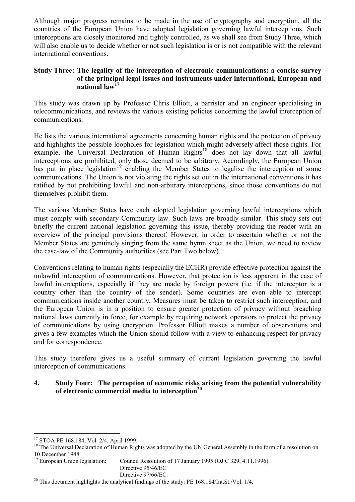Although major progress remains to be made in the use of cryptography and encryption, all the countries of the European Union have adopted legislation governing lawful interceptions. Such interceptions are closely monitored and tightly controlled, as we shall see from Study Three, which will also enable us to decide whether or not such legislation is or is not compatible with the relevant international conventions.

#### **Study Three: The legality of the interception of electronic communications: a concise survey of the principal legal issues and instruments under international, European and national law<sup>17</sup>**

This study was drawn up by Professor Chris Elliott, a barrister and an engineer specialising in telecommunications, and reviews the various existing policies concerning the lawful interception of communications.

He lists the various international agreements concerning human rights and the protection of privacy and highlights the possible loopholes for legislation which might adversely affect those rights. For example, the Universal Declaration of Human Rights<sup>18</sup> does not lay down that all lawful interceptions are prohibited, only those deemed to be arbitrary. Accordingly, the European Union has put in place legislation<sup>19</sup> enabling the Member States to legalise the interception of some communications. The Union is not violating the rights set out in the international conventions it has ratified by not prohibiting lawful and non-arbitrary interceptions, since those conventions do not themselves prohibit them.

The various Member States have each adopted legislation governing lawful interceptions which must comply with secondary Community law. Such laws are broadly similar. This study sets out briefly the current national legislation governing this issue, thereby providing the reader with an overview of the principal provisions thereof. However, in order to ascertain whether or not the Member States are genuinely singing from the same hymn sheet as the Union, we need to review the case-law of the Community authorities (see Part Two below).

Conventions relating to human rights (especially the ECHR) provide effective protection against the unlawful interception of communications. However, that protection is less apparent in the case of lawful interceptions, especially if they are made by foreign powers (i.e. if the interceptor is a country other than the country of the sender). Some countries are even able to intercept communications inside another country. Measures must be taken to restrict such interception, and the European Union is in a position to ensure greater protection of privacy without breaching national laws currently in force, for example by requiring network operators to protect the privacy of communications by using encryption. Professor Elliott makes a number of observations and gives a few examples which the Union should follow with a view to enhancing respect for privacy and for correspondence.

This study therefore gives us a useful summary of current legislation governing the lawful interception of communications.

#### **4. Study Four: The perception of economic risks arising from the potential vulnerability of electronic commercial media to interception20**

Council Resolution of 17 January 1995 (OJ C 329, 4.11.1996). Directive 95/46/EC Directive 97/66/EC.

 $\overline{a}$ <sup>17</sup> STOA PE 168.184, Vol. 2/4, April 1999.

<sup>&</sup>lt;sup>18</sup> The Universal Declaration of Human Rights was adopted by the UN General Assembly in the form of a resolution on 10 December 1948.<br><sup>19</sup> European Union legislation:

<sup>&</sup>lt;sup>20</sup> This document highlights the analytical findings of the study: PE 168.184/Int.St./Vol. 1/4.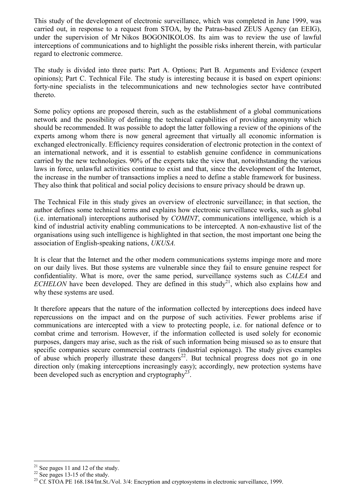This study of the development of electronic surveillance, which was completed in June 1999, was carried out, in response to a request from STOA, by the Patras-based ZEUS Agency (an EEIG), under the supervision of Mr Nikos BOGONIKOLOS. Its aim was to review the use of lawful interceptions of communications and to highlight the possible risks inherent therein, with particular regard to electronic commerce.

The study is divided into three parts: Part A. Options; Part B. Arguments and Evidence (expert opinions); Part C. Technical File. The study is interesting because it is based on expert opinions: forty-nine specialists in the telecommunications and new technologies sector have contributed thereto.

Some policy options are proposed therein, such as the establishment of a global communications network and the possibility of defining the technical capabilities of providing anonymity which should be recommended. It was possible to adopt the latter following a review of the opinions of the experts among whom there is now general agreement that virtually all economic information is exchanged electronically. Efficiency requires consideration of electronic protection in the context of an international network, and it is essential to establish genuine confidence in communications carried by the new technologies. 90% of the experts take the view that, notwithstanding the various laws in force, unlawful activities continue to exist and that, since the development of the Internet, the increase in the number of transactions implies a need to define a stable framework for business. They also think that political and social policy decisions to ensure privacy should be drawn up.

The Technical File in this study gives an overview of electronic surveillance; in that section, the author defines some technical terms and explains how electronic surveillance works, such as global (i.e. international) interceptions authorised by *COMINT*, communications intelligence, which is a kind of industrial activity enabling communications to be intercepted. A non-exhaustive list of the organisations using such intelligence is highlighted in that section, the most important one being the association of English-speaking nations, *UKUSA.* 

It is clear that the Internet and the other modern communications systems impinge more and more on our daily lives. But those systems are vulnerable since they fail to ensure genuine respect for confidentiality. What is more, over the same period, surveillance systems such as *CALEA* and *ECHELON* have been developed. They are defined in this study<sup>21</sup>, which also explains how and why these systems are used.

It therefore appears that the nature of the information collected by interceptions does indeed have repercussions on the impact and on the purpose of such activities. Fewer problems arise if communications are intercepted with a view to protecting people, i.e. for national defence or to combat crime and terrorism. However, if the information collected is used solely for economic purposes, dangers may arise, such as the risk of such information being misused so as to ensure that specific companies secure commercial contracts (industrial espionage). The study gives examples of abuse which properly illustrate these dangers<sup>22</sup>. But technical progress does not go in one direction only (making interceptions increasingly easy); accordingly, new protection systems have been developed such as encryption and cryptography<sup>23</sup>.

 $21$  See pages 11 and 12 of the study.

 $22$  See pages 13-15 of the study.

<sup>&</sup>lt;sup>23</sup> Cf. STOA PE 168.184/Int.St./Vol. 3/4: Encryption and cryptosystems in electronic surveillance, 1999.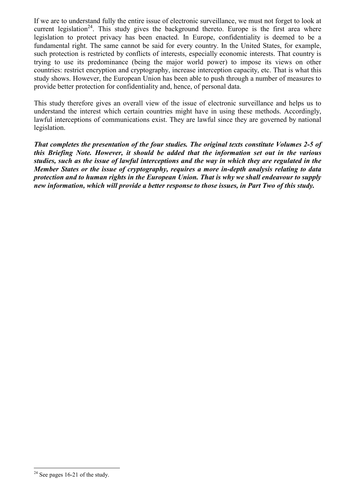If we are to understand fully the entire issue of electronic surveillance, we must not forget to look at current legislation<sup>24</sup>. This study gives the background thereto. Europe is the first area where legislation to protect privacy has been enacted. In Europe, confidentiality is deemed to be a fundamental right. The same cannot be said for every country. In the United States, for example, such protection is restricted by conflicts of interests, especially economic interests. That country is trying to use its predominance (being the major world power) to impose its views on other countries: restrict encryption and cryptography, increase interception capacity, etc. That is what this study shows. However, the European Union has been able to push through a number of measures to provide better protection for confidentiality and, hence, of personal data.

This study therefore gives an overall view of the issue of electronic surveillance and helps us to understand the interest which certain countries might have in using these methods. Accordingly, lawful interceptions of communications exist. They are lawful since they are governed by national legislation.

*That completes the presentation of the four studies. The original texts constitute Volumes 2-5 of this Briefing Note. However, it should be added that the information set out in the various studies, such as the issue of lawful interceptions and the way in which they are regulated in the Member States or the issue of cryptography, requires a more in-depth analysis relating to data protection and to human rights in the European Union. That is why we shall endeavour to supply new information, which will provide a better response to those issues, in Part Two of this study.* 

 $24$  See pages 16-21 of the study.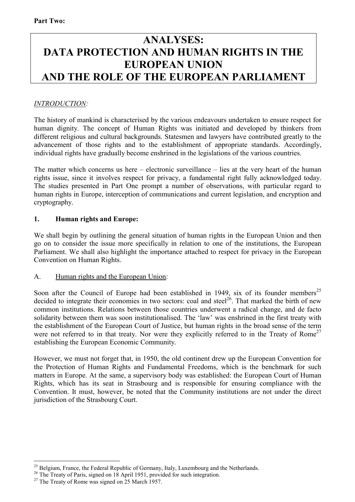## **ANALYSES: DATA PROTECTION AND HUMAN RIGHTS IN THE EUROPEAN UNION AND THE ROLE OF THE EUROPEAN PARLIAMENT**

## *INTRODUCTION:*

The history of mankind is characterised by the various endeavours undertaken to ensure respect for human dignity. The concept of Human Rights was initiated and developed by thinkers from different religious and cultural backgrounds. Statesmen and lawyers have contributed greatly to the advancement of those rights and to the establishment of appropriate standards. Accordingly, individual rights have gradually become enshrined in the legislations of the various countries.

The matter which concerns us here  $-$  electronic surveillance  $-$  lies at the very heart of the human rights issue, since it involves respect for privacy, a fundamental right fully acknowledged today. The studies presented in Part One prompt a number of observations, with particular regard to human rights in Europe, interception of communications and current legislation, and encryption and cryptography.

## **1. Human rights and Europe:**

We shall begin by outlining the general situation of human rights in the European Union and then go on to consider the issue more specifically in relation to one of the institutions, the European Parliament. We shall also highlight the importance attached to respect for privacy in the European Convention on Human Rights.

### A. Human rights and the European Union:

Soon after the Council of Europe had been established in 1949, six of its founder members<sup>25</sup> decided to integrate their economies in two sectors: coal and steel<sup>26</sup>. That marked the birth of new common institutions. Relations between those countries underwent a radical change, and de facto solidarity between them was soon institutionalised. The 'law' was enshrined in the first treaty with the establishment of the European Court of Justice, but human rights in the broad sense of the term were not referred to in that treaty. Nor were they explicitly referred to in the Treaty of Rome<sup>27</sup> establishing the European Economic Community.

However, we must not forget that, in 1950, the old continent drew up the European Convention for the Protection of Human Rights and Fundamental Freedoms, which is the benchmark for such matters in Europe. At the same, a supervisory body was established: the European Court of Human Rights, which has its seat in Strasbourg and is responsible for ensuring compliance with the Convention. It must, however, be noted that the Community institutions are not under the direct jurisdiction of the Strasbourg Court.

 $\overline{a}$  $25$  Belgium, France, the Federal Republic of Germany, Italy, Luxembourg and the Netherlands.

<sup>&</sup>lt;sup>26</sup> The Treaty of Paris, signed on 18 April 1951, provided for such integration.

<sup>&</sup>lt;sup>27</sup> The Treaty of Rome was signed on 25 March 1957.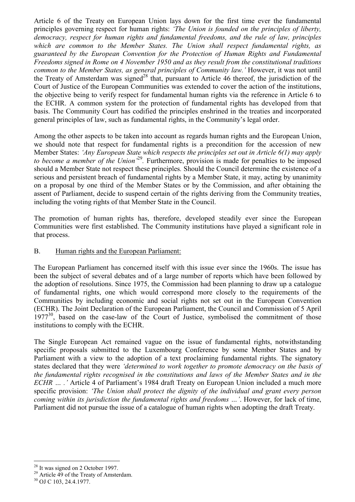Article 6 of the Treaty on European Union lays down for the first time ever the fundamental principles governing respect for human rights: *ëThe Union is founded on the principles of liberty, democracy, respect for human rights and fundamental freedoms, and the rule of law, principles which are common to the Member States. The Union shall respect fundamental rights, as guaranteed by the European Convention for the Protection of Human Rights and Fundamental Freedoms signed in Rome on 4 November 1950 and as they result from the constitutional traditions common to the Member States, as general principles of Community law.'* However, it was not until the Treaty of Amsterdam was signed<sup>28</sup> that, pursuant to Article 46 thereof, the jurisdiction of the Court of Justice of the European Communities was extended to cover the action of the institutions, the objective being to verify respect for fundamental human rights via the reference in Article 6 to the ECHR. A common system for the protection of fundamental rights has developed from that basis. The Community Court has codified the principles enshrined in the treaties and incorporated general principles of law, such as fundamental rights, in the Community's legal order.

Among the other aspects to be taken into account as regards human rights and the European Union, we should note that respect for fundamental rights is a precondition for the accession of new Member States: *ëAny European State which respects the principles set out in Article 6(1) may apply to become a member of the Union*<sup>29</sup>. Furthermore, provision is made for penalties to be imposed should a Member State not respect these principles*.* Should the Council determine the existence of a serious and persistent breach of fundamental rights by a Member State, it may, acting by unanimity on a proposal by one third of the Member States or by the Commission, and after obtaining the assent of Parliament, decide to suspend certain of the rights deriving from the Community treaties, including the voting rights of that Member State in the Council.

The promotion of human rights has, therefore, developed steadily ever since the European Communities were first established. The Community institutions have played a significant role in that process.

#### B. Human rights and the European Parliament:

The European Parliament has concerned itself with this issue ever since the 1960s. The issue has been the subject of several debates and of a large number of reports which have been followed by the adoption of resolutions. Since 1975, the Commission had been planning to draw up a catalogue of fundamental rights, one which would correspond more closely to the requirements of the Communities by including economic and social rights not set out in the European Convention (ECHR). The Joint Declaration of the European Parliament, the Council and Commission of 5 April  $1977^{30}$ , based on the case-law of the Court of Justice, symbolised the commitment of those institutions to comply with the ECHR.

The Single European Act remained vague on the issue of fundamental rights, notwithstanding specific proposals submitted to the Luxembourg Conference by some Member States and by Parliament with a view to the adoption of a text proclaiming fundamental rights. The signatory states declared that they were *ëdetermined to work together to promote democracy on the basis of the fundamental rights recognised in the constitutions and laws of the Member States and in the ECHR* ... .' Article 4 of Parliament's 1984 draft Treaty on European Union included a much more specific provision: *ëThe Union shall protect the dignity of the individual and grant every person coming within its jurisdiction the fundamental rights and freedoms ...'*. However, for lack of time, Parliament did not pursue the issue of a catalogue of human rights when adopting the draft Treaty.

 $\overline{a}$ <sup>28</sup> It was signed on 2 October 1997.

<sup>&</sup>lt;sup>29</sup> Article 49 of the Treaty of Amsterdam.

<sup>30</sup> OJ C 103, 24.4.1977.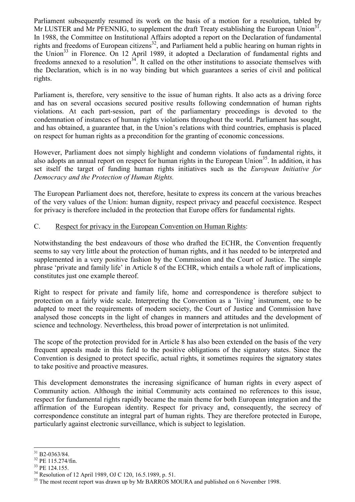Parliament subsequently resumed its work on the basis of a motion for a resolution, tabled by Mr LUSTER and Mr PFENNIG, to supplement the draft Treaty establishing the European Union<sup>31</sup>. In 1988, the Committee on Institutional Affairs adopted a report on the Declaration of fundamental rights and freedoms of European citizens<sup>32</sup>, and Parliament held a public hearing on human rights in the Union<sup>33</sup> in Florence. On 12 April 1989, it adopted a Declaration of fundamental rights and freedoms annexed to a resolution<sup>34</sup>. It called on the other institutions to associate themselves with the Declaration, which is in no way binding but which guarantees a series of civil and political rights.

Parliament is, therefore, very sensitive to the issue of human rights. It also acts as a driving force and has on several occasions secured positive results following condemnation of human rights violations. At each part-session, part of the parliamentary proceedings is devoted to the condemnation of instances of human rights violations throughout the world. Parliament has sought, and has obtained, a guarantee that, in the Union's relations with third countries, emphasis is placed on respect for human rights as a precondition for the granting of economic concessions.

However, Parliament does not simply highlight and condemn violations of fundamental rights, it also adopts an annual report on respect for human rights in the European Union<sup>35</sup>. In addition, it has set itself the target of funding human rights initiatives such as the *European Initiative for Democracy and the Protection of Human Rights.*

The European Parliament does not, therefore, hesitate to express its concern at the various breaches of the very values of the Union: human dignity, respect privacy and peaceful coexistence. Respect for privacy is therefore included in the protection that Europe offers for fundamental rights.

### C. Respect for privacy in the European Convention on Human Rights:

Notwithstanding the best endeavours of those who drafted the ECHR, the Convention frequently seems to say very little about the protection of human rights, and it has needed to be interpreted and supplemented in a very positive fashion by the Commission and the Court of Justice. The simple phrase 'private and family life' in Article 8 of the ECHR, which entails a whole raft of implications, constitutes just one example thereof.

Right to respect for private and family life, home and correspondence is therefore subject to protection on a fairly wide scale. Interpreting the Convention as a 'living' instrument, one to be adapted to meet the requirements of modern society, the Court of Justice and Commission have analysed those concepts in the light of changes in manners and attitudes and the development of science and technology. Nevertheless, this broad power of interpretation is not unlimited.

The scope of the protection provided for in Article 8 has also been extended on the basis of the very frequent appeals made in this field to the positive obligations of the signatory states. Since the Convention is designed to protect specific, actual rights, it sometimes requires the signatory states to take positive and proactive measures.

This development demonstrates the increasing significance of human rights in every aspect of Community action. Although the initial Community acts contained no references to this issue, respect for fundamental rights rapidly became the main theme for both European integration and the affirmation of the European identity. Respect for privacy and, consequently, the secrecy of correspondence constitute an integral part of human rights. They are therefore protected in Europe, particularly against electronic surveillance, which is subject to legislation.

 $\overline{a}$ 31 B2-0363/84.

<sup>32</sup> PE 115.274/fin.

<sup>33</sup> PE 124.155.

<sup>34</sup> Resolution of 12 April 1989, OJ C 120, 16.5.1989, p. 51.

<sup>&</sup>lt;sup>35</sup> The most recent report was drawn up by Mr BARROS MOURA and published on 6 November 1998.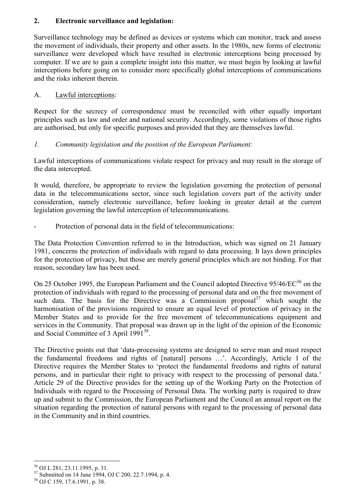## **2. Electronic surveillance and legislation:**

Surveillance technology may be defined as devices or systems which can monitor, track and assess the movement of individuals, their property and other assets. In the 1980s, new forms of electronic surveillance were developed which have resulted in electronic interceptions being processed by computer. If we are to gain a complete insight into this matter, we must begin by looking at lawful interceptions before going on to consider more specifically global interceptions of communications and the risks inherent therein.

## A. Lawful interceptions:

Respect for the secrecy of correspondence must be reconciled with other equally important principles such as law and order and national security. Accordingly, some violations of those rights are authorised, but only for specific purposes and provided that they are themselves lawful.

## *1. Community legislation and the position of the European Parliament:*

Lawful interceptions of communications violate respect for privacy and may result in the storage of the data intercepted.

It would, therefore, be appropriate to review the legislation governing the protection of personal data in the telecommunications sector, since such legislation covers part of the activity under consideration, namely electronic surveillance, before looking in greater detail at the current legislation governing the lawful interception of telecommunications.

Protection of personal data in the field of telecommunications:

The Data Protection Convention referred to in the Introduction, which was signed on 21 January 1981, concerns the protection of individuals with regard to data processing. It lays down principles for the protection of privacy, but those are merely general principles which are not binding. For that reason, secondary law has been used.

On 25 October 1995, the European Parliament and the Council adopted Directive 95/46/EC<sup>36</sup> on the protection of individuals with regard to the processing of personal data and on the free movement of such data. The basis for the Directive was a Commission proposal $3^7$  which sought the harmonisation of the provisions required to ensure an equal level of protection of privacy in the Member States and to provide for the free movement of telecommunications equipment and services in the Community. That proposal was drawn up in the light of the opinion of the Economic and Social Committee of 3 April 1991<sup>38</sup>.

The Directive points out that 'data-processing systems are designed to serve man and must respect the fundamental freedoms and rights of [natural] persons ...'. Accordingly, Article 1 of the Directive requires the Member States to ëprotect the fundamental freedoms and rights of natural persons, and in particular their right to privacy with respect to the processing of personal data. Article 29 of the Directive provides for the setting up of the Working Party on the Protection of Individuals with regard to the Processing of Personal Data. The working party is required to draw up and submit to the Commission, the European Parliament and the Council an annual report on the situation regarding the protection of natural persons with regard to the processing of personal data in the Community and in third countries.

 $\overline{a}$ 36 OJ L 281, 23.11.1995, p. 31.

<sup>37</sup> Submitted on 14 June 1994, OJ C 200, 22.7.1994, p. 4.

<sup>38</sup> OJ C 159, 17.6.1991, p. 38.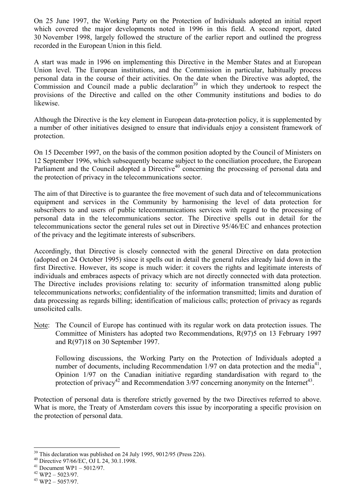On 25 June 1997, the Working Party on the Protection of Individuals adopted an initial report which covered the major developments noted in 1996 in this field. A second report, dated 30 November 1998, largely followed the structure of the earlier report and outlined the progress recorded in the European Union in this field.

A start was made in 1996 on implementing this Directive in the Member States and at European Union level. The European institutions, and the Commission in particular, habitually process personal data in the course of their activities. On the date when the Directive was adopted, the Commission and Council made a public declaration<sup>39</sup> in which they undertook to respect the provisions of the Directive and called on the other Community institutions and bodies to do likewise.

Although the Directive is the key element in European data-protection policy, it is supplemented by a number of other initiatives designed to ensure that individuals enjoy a consistent framework of protection.

On 15 December 1997, on the basis of the common position adopted by the Council of Ministers on 12 September 1996, which subsequently became subject to the conciliation procedure, the European Parliament and the Council adopted a Directive<sup>40</sup> concerning the processing of personal data and the protection of privacy in the telecommunications sector.

The aim of that Directive is to guarantee the free movement of such data and of telecommunications equipment and services in the Community by harmonising the level of data protection for subscribers to and users of public telecommunications services with regard to the processing of personal data in the telecommunications sector. The Directive spells out in detail for the telecommunications sector the general rules set out in Directive 95/46/EC and enhances protection of the privacy and the legitimate interests of subscribers.

Accordingly, that Directive is closely connected with the general Directive on data protection (adopted on 24 October 1995) since it spells out in detail the general rules already laid down in the first Directive. However, its scope is much wider: it covers the rights and legitimate interests of individuals and embraces aspects of privacy which are not directly connected with data protection. The Directive includes provisions relating to: security of information transmitted along public telecommunications networks; confidentiality of the information transmitted; limits and duration of data processing as regards billing; identification of malicious calls; protection of privacy as regards unsolicited calls.

Note: The Council of Europe has continued with its regular work on data protection issues. The Committee of Ministers has adopted two Recommendations, R(97)5 on 13 February 1997 and R(97)18 on 30 September 1997.

 Following discussions, the Working Party on the Protection of Individuals adopted a number of documents, including Recommendation  $1/97$  on data protection and the media<sup>41</sup>. Opinion 1/97 on the Canadian initiative regarding standardisation with regard to the protection of privacy<sup>42</sup> and Recommendation  $3/97$  concerning anonymity on the Internet<sup>43</sup>.

Protection of personal data is therefore strictly governed by the two Directives referred to above. What is more, the Treaty of Amsterdam covers this issue by incorporating a specific provision on the protection of personal data.

<sup>&</sup>lt;sup>39</sup> This declaration was published on 24 July 1995, 9012/95 (Press 226).

<sup>40</sup> Directive 97/66/EC, OJ L 24, 30.1.1998.

 $41$  Document WP1 – 5012/97.

 $42$  WP2 - 5023/97.

 $43$  WP2 - 5057/97.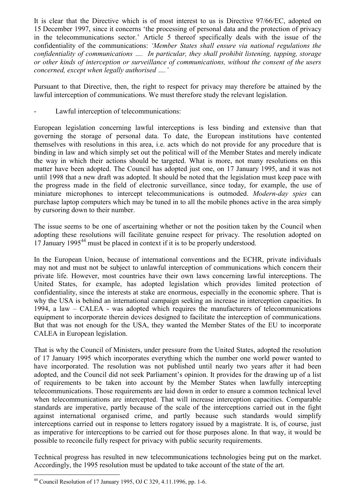It is clear that the Directive which is of most interest to us is Directive 97/66/EC, adopted on 15 December 1997, since it concerns 'the processing of personal data and the protection of privacy in the telecommunications sector.' Article 5 thereof specifically deals with the issue of the confidentiality of the communications: *ëMember States shall ensure via national regulations the confidentiality of communications ....* In particular, they shall prohibit listening, tapping, storage *or other kinds of interception or surveillance of communications, without the consent of the users concerned, except when legally authorised ....'* 

Pursuant to that Directive, then, the right to respect for privacy may therefore be attained by the lawful interception of communications. We must therefore study the relevant legislation.

Lawful interception of telecommunications:

European legislation concerning lawful interceptions is less binding and extensive than that governing the storage of personal data. To date, the European institutions have contented themselves with resolutions in this area, i.e. acts which do not provide for any procedure that is binding in law and which simply set out the political will of the Member States and merely indicate the way in which their actions should be targeted. What is more, not many resolutions on this matter have been adopted. The Council has adopted just one, on 17 January 1995, and it was not until 1998 that a new draft was adopted. It should be noted that the legislation must keep pace with the progress made in the field of electronic surveillance, since today, for example, the use of miniature microphones to intercept telecommunications is outmoded. *Modern-day spies* can purchase laptop computers which may be tuned in to all the mobile phones active in the area simply by cursoring down to their number.

The issue seems to be one of ascertaining whether or not the position taken by the Council when adopting these resolutions will facilitate genuine respect for privacy. The resolution adopted on 17 January 1995<sup>44</sup> must be placed in context if it is to be properly understood.

In the European Union, because of international conventions and the ECHR, private individuals may not and must not be subject to unlawful interception of communications which concern their private life. However, most countries have their own laws concerning lawful interceptions. The United States, for example, has adopted legislation which provides limited protection of confidentiality, since the interests at stake are enormous, especially in the economic sphere. That is why the USA is behind an international campaign seeking an increase in interception capacities. In 1994, a law  $-$  CALEA - was adopted which requires the manufacturers of telecommunications equipment to incorporate therein devices designed to facilitate the interception of communications. But that was not enough for the USA, they wanted the Member States of the EU to incorporate CALEA in European legislation.

That is why the Council of Ministers, under pressure from the United States, adopted the resolution of 17 January 1995 which incorporates everything which the number one world power wanted to have incorporated. The resolution was not published until nearly two years after it had been adopted, and the Council did not seek Parliament's opinion. It provides for the drawing up of a list of requirements to be taken into account by the Member States when lawfully intercepting telecommunications. Those requirements are laid down in order to ensure a common technical level when telecommunications are intercepted. That will increase interception capacities. Comparable standards are imperative, partly because of the scale of the interceptions carried out in the fight against international organised crime, and partly because such standards would simplify interceptions carried out in response to letters rogatory issued by a magistrate. It is, of course, just as imperative for interceptions to be carried out for those purposes alone. In that way, it would be possible to reconcile fully respect for privacy with public security requirements.

Technical progress has resulted in new telecommunications technologies being put on the market. Accordingly, the 1995 resolution must be updated to take account of the state of the art.

<sup>44</sup> Council Resolution of 17 January 1995, OJ C 329, 4.11.1996, pp. 1-6.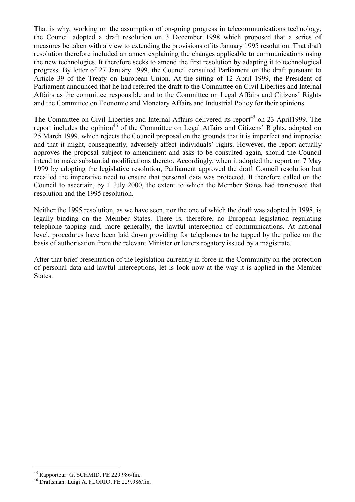That is why, working on the assumption of on-going progress in telecommunications technology, the Council adopted a draft resolution on 3 December 1998 which proposed that a series of measures be taken with a view to extending the provisions of its January 1995 resolution. That draft resolution therefore included an annex explaining the changes applicable to communications using the new technologies. It therefore seeks to amend the first resolution by adapting it to technological progress. By letter of 27 January 1999, the Council consulted Parliament on the draft pursuant to Article 39 of the Treaty on European Union. At the sitting of 12 April 1999, the President of Parliament announced that he had referred the draft to the Committee on Civil Liberties and Internal Affairs as the committee responsible and to the Committee on Legal Affairs and Citizens' Rights and the Committee on Economic and Monetary Affairs and Industrial Policy for their opinions.

The Committee on Civil Liberties and Internal Affairs delivered its report<sup>45</sup> on 23 April1999. The report includes the opinion<sup>46</sup> of the Committee on Legal Affairs and Citizens' Rights, adopted on 25 March 1999, which rejects the Council proposal on the grounds that it is imperfect and imprecise and that it might, consequently, adversely affect individuals' rights. However, the report actually approves the proposal subject to amendment and asks to be consulted again, should the Council intend to make substantial modifications thereto. Accordingly, when it adopted the report on 7 May 1999 by adopting the legislative resolution, Parliament approved the draft Council resolution but recalled the imperative need to ensure that personal data was protected. It therefore called on the Council to ascertain, by 1 July 2000, the extent to which the Member States had transposed that resolution and the 1995 resolution.

Neither the 1995 resolution, as we have seen, nor the one of which the draft was adopted in 1998, is legally binding on the Member States. There is, therefore, no European legislation regulating telephone tapping and, more generally, the lawful interception of communications. At national level, procedures have been laid down providing for telephones to be tapped by the police on the basis of authorisation from the relevant Minister or letters rogatory issued by a magistrate.

After that brief presentation of the legislation currently in force in the Community on the protection of personal data and lawful interceptions, let is look now at the way it is applied in the Member States.

<sup>45</sup> Rapporteur: G. SCHMID. PE 229.986/fin.

<sup>46</sup> Draftsman: Luigi A. FLORIO, PE 229.986/fin.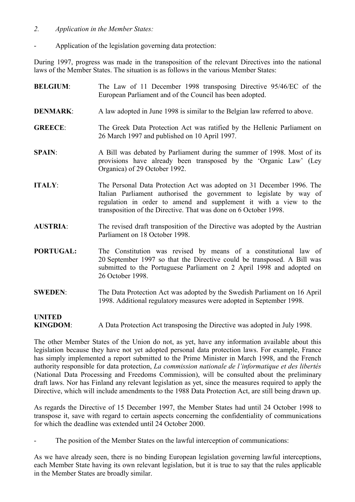- *2. Application in the Member States:*
- Application of the legislation governing data protection:

During 1997, progress was made in the transposition of the relevant Directives into the national laws of the Member States. The situation is as follows in the various Member States:

**BELGIUM:** The Law of 11 December 1998 transposing Directive 95/46/EC of the European Parliament and of the Council has been adopted. **DENMARK:** A law adopted in June 1998 is similar to the Belgian law referred to above. **GREECE**: The Greek Data Protection Act was ratified by the Hellenic Parliament on 26 March 1997 and published on 10 April 1997. **SPAIN:** A Bill was debated by Parliament during the summer of 1998. Most of its provisions have already been transposed by the 'Organic Law' (Ley Organica) of 29 October 1992. **ITALY:** The Personal Data Protection Act was adopted on 31 December 1996. The Italian Parliament authorised the government to legislate by way of regulation in order to amend and supplement it with a view to the transposition of the Directive. That was done on 6 October 1998. **AUSTRIA**: The revised draft transposition of the Directive was adopted by the Austrian Parliament on 18 October 1998. **PORTUGAL:** The Constitution was revised by means of a constitutional law of 20 September 1997 so that the Directive could be transposed. A Bill was submitted to the Portuguese Parliament on 2 April 1998 and adopted on 26 October 1998. **SWEDEN**: The Data Protection Act was adopted by the Swedish Parliament on 16 April 1998. Additional regulatory measures were adopted in September 1998. **UNITED KINGDOM**: A Data Protection Act transposing the Directive was adopted in July 1998.

The other Member States of the Union do not, as yet, have any information available about this legislation because they have not yet adopted personal data protection laws. For example, France has simply implemented a report submitted to the Prime Minister in March 1998, and the French authority responsible for data protection, *La commission nationale de l'informatique et des libertés* (National Data Processing and Freedoms Commission), will be consulted about the preliminary draft laws. Nor has Finland any relevant legislation as yet, since the measures required to apply the Directive, which will include amendments to the 1988 Data Protection Act, are still being drawn up.

As regards the Directive of 15 December 1997, the Member States had until 24 October 1998 to transpose it, save with regard to certain aspects concerning the confidentiality of communications for which the deadline was extended until 24 October 2000.

The position of the Member States on the lawful interception of communications:

As we have already seen, there is no binding European legislation governing lawful interceptions, each Member State having its own relevant legislation, but it is true to say that the rules applicable in the Member States are broadly similar.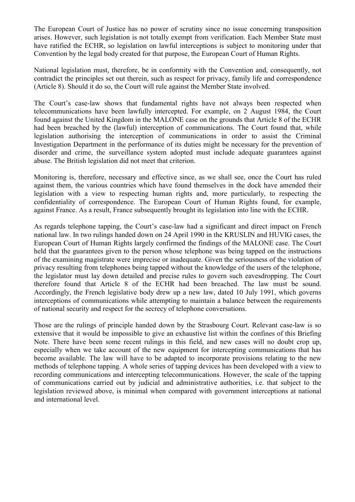The European Court of Justice has no power of scrutiny since no issue concerning transposition arises. However, such legislation is not totally exempt from verification. Each Member State must have ratified the ECHR, so legislation on lawful interceptions is subject to monitoring under that Convention by the legal body created for that purpose, the European Court of Human Rights.

National legislation must, therefore, be in conformity with the Convention and, consequently, not contradict the principles set out therein, such as respect for privacy, family life and correspondence (Article 8). Should it do so, the Court will rule against the Member State involved.

The Court's case-law shows that fundamental rights have not always been respected when telecommunications have been lawfully intercepted. For example, on 2 August 1984, the Court found against the United Kingdom in the MALONE case on the grounds that Article 8 of the ECHR had been breached by the (lawful) interception of communications. The Court found that, while legislation authorising the interception of communications in order to assist the Criminal Investigation Department in the performance of its duties might be necessary for the prevention of disorder and crime, the surveillance system adopted must include adequate guarantees against abuse. The British legislation did not meet that criterion.

Monitoring is, therefore, necessary and effective since, as we shall see, once the Court has ruled against them, the various countries which have found themselves in the dock have amended their legislation with a view to respecting human rights and, more particularly, to respecting the confidentiality of correspondence. The European Court of Human Rights found, for example, against France. As a result, France subsequently brought its legislation into line with the ECHR.

As regards telephone tapping, the Court's case-law had a significant and direct impact on French national law. In two rulings handed down on 24 April 1990 in the KRUSLIN and HUVIG cases, the European Court of Human Rights largely confirmed the findings of the MALONE case. The Court held that the guarantees given to the person whose telephone was being tapped on the instructions of the examining magistrate were imprecise or inadequate. Given the seriousness of the violation of privacy resulting from telephones being tapped without the knowledge of the users of the telephone, the legislator must lay down detailed and precise rules to govern such eavesdropping. The Court therefore found that Article 8 of the ECHR had been breached. The law must be sound. Accordingly, the French legislative body drew up a new law, dated 10 July 1991, which governs interceptions of communications while attempting to maintain a balance between the requirements of national security and respect for the secrecy of telephone conversations.

Those are the rulings of principle handed down by the Strasbourg Court. Relevant case-law is so extensive that it would be impossible to give an exhaustive list within the confines of this Briefing Note. There have been some recent rulings in this field, and new cases will no doubt crop up, especially when we take account of the new equipment for intercepting communications that has become available. The law will have to be adapted to incorporate provisions relating to the new methods of telephone tapping. A whole series of tapping devices has been developed with a view to recording communications and intercepting telecommunications. However, the scale of the tapping of communications carried out by judicial and administrative authorities, i.e. that subject to the legislation reviewed above, is minimal when compared with government interceptions at national and international level.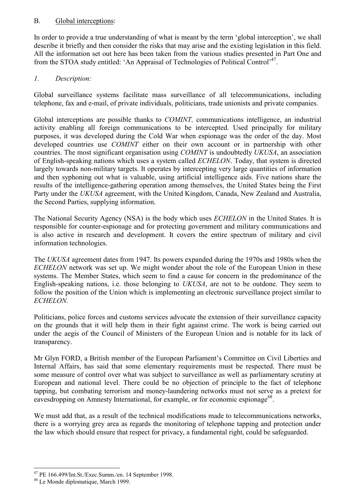## B. Global interceptions:

In order to provide a true understanding of what is meant by the term 'global interception', we shall describe it briefly and then consider the risks that may arise and the existing legislation in this field. All the information set out here has been taken from the various studies presented in Part One and from the STOA study entitled: 'An Appraisal of Technologies of Political Control'<sup>47</sup>.

## *1. Description:*

Global surveillance systems facilitate mass surveillance of all telecommunications, including telephone, fax and e-mail, of private individuals, politicians, trade unionists and private companies.

Global interceptions are possible thanks to *COMINT,* communications intelligence, an industrial activity enabling all foreign communications to be intercepted. Used principally for military purposes, it was developed during the Cold War when espionage was the order of the day. Most developed countries use *COMINT* either on their own account or in partnership with other countries. The most significant organisation using *COMINT* is undoubtedly *UKUSA*, an association of English-speaking nations which uses a system called *ECHELON*. Today, that system is directed largely towards non-military targets. It operates by intercepting very large quantities of information and then syphoning out what is valuable, using artificial intelligence aids. Five nations share the results of the intelligence-gathering operation among themselves, the United States being the First Party under the *UKUSA* agreement, with the United Kingdom, Canada, New Zealand and Australia, the Second Parties, supplying information.

The National Security Agency (NSA) is the body which uses *ECHELON* in the United States. It is responsible for counter-espionage and for protecting government and military communications and is also active in research and development. It covers the entire spectrum of military and civil information technologies.

The *UKUSA* agreement dates from 1947. Its powers expanded during the 1970s and 1980s when the *ECHELON* network was set up. We might wonder about the role of the European Union in these systems. The Member States, which seem to find a cause for concern in the predominance of the English-speaking nations, i.e. those belonging to *UKUSA*, are not to be outdone. They seem to follow the position of the Union which is implementing an electronic surveillance project similar to *ECHELON.*

Politicians, police forces and customs services advocate the extension of their surveillance capacity on the grounds that it will help them in their fight against crime. The work is being carried out under the aegis of the Council of Ministers of the European Union and is notable for its lack of transparency.

Mr Glyn FORD, a British member of the European Parliament's Committee on Civil Liberties and Internal Affairs, has said that some elementary requirements must be respected. There must be some measure of control over what was subject to surveillance as well as parliamentary scrutiny at European and national level. There could be no objection of principle to the fact of telephone tapping, but combating terrorism and money-laundering networks must not serve as a pretext for eavesdropping on Amnesty International, for example, or for economic espionage<sup>48</sup>.

We must add that, as a result of the technical modifications made to telecommunications networks, there is a worrying grey area as regards the monitoring of telephone tapping and protection under the law which should ensure that respect for privacy, a fundamental right, could be safeguarded.

<sup>47</sup> PE 166.499/Int.St./Exec.Summ./en. 14 September 1998.

<sup>48</sup> Le Monde diplomatique, March 1999.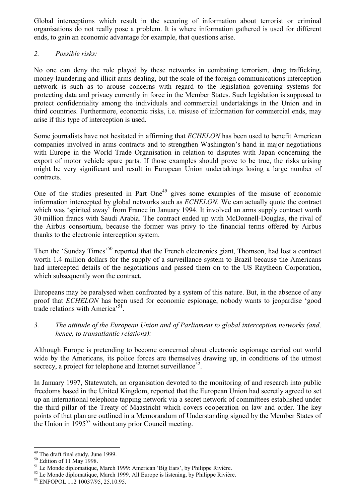Global interceptions which result in the securing of information about terrorist or criminal organisations do not really pose a problem. It is where information gathered is used for different ends, to gain an economic advantage for example, that questions arise.

## *2. Possible risks:*

No one can deny the role played by these networks in combating terrorism, drug trafficking, money-laundering and illicit arms dealing, but the scale of the foreign communications interception network is such as to arouse concerns with regard to the legislation governing systems for protecting data and privacy currently in force in the Member States. Such legislation is supposed to protect confidentiality among the individuals and commercial undertakings in the Union and in third countries. Furthermore, economic risks, i.e. misuse of information for commercial ends, may arise if this type of interception is used.

Some journalists have not hesitated in affirming that *ECHELON* has been used to benefit American companies involved in arms contracts and to strengthen Washington's hand in major negotiations with Europe in the World Trade Organisation in relation to disputes with Japan concerning the export of motor vehicle spare parts. If those examples should prove to be true, the risks arising might be very significant and result in European Union undertakings losing a large number of contracts.

One of the studies presented in Part One<sup>49</sup> gives some examples of the misuse of economic information intercepted by global networks such as *ECHELON.* We can actually quote the contract which was 'spirited away' from France in January 1994. It involved an arms supply contract worth 30 million francs with Saudi Arabia. The contract ended up with McDonnell-Douglas, the rival of the Airbus consortium, because the former was privy to the financial terms offered by Airbus thanks to the electronic interception system.

Then the 'Sunday Times<sup>'50</sup> reported that the French electronics giant, Thomson, had lost a contract worth 1.4 million dollars for the supply of a surveillance system to Brazil because the Americans had intercepted details of the negotiations and passed them on to the US Raytheon Corporation, which subsequently won the contract.

Europeans may be paralysed when confronted by a system of this nature. But, in the absence of any proof that *ECHELON* has been used for economic espionage, nobody wants to jeopardise 'good trade relations with America<sup>51</sup>.

*3. The attitude of the European Union and of Parliament to global interception networks (and, hence, to transatlantic relations):* 

Although Europe is pretending to become concerned about electronic espionage carried out world wide by the Americans, its police forces are themselves drawing up, in conditions of the utmost secrecy, a project for telephone and Internet surveillance<sup>52</sup>.

In January 1997, Statewatch, an organisation devoted to the monitoring of and research into public freedoms based in the United Kingdom, reported that the European Union had secretly agreed to set up an international telephone tapping network via a secret network of committees established under the third pillar of the Treaty of Maastricht which covers cooperation on law and order. The key points of that plan are outlined in a Memorandum of Understanding signed by the Member States of the Union in  $1995^{53}$  without any prior Council meeting.

<sup>49</sup> The draft final study, June 1999.

<sup>50</sup> Edition of 11 May 1998.

 $<sup>51</sup>$  Le Monde diplomatique, March 1999: American 'Big Ears', by Philippe Rivière.</sup>

 $52$  Le Monde diplomatique, March 1999. All Europe is listening, by Philippe Rivière.

<sup>53</sup> ENFOPOL 112 10037/95, 25.10.95.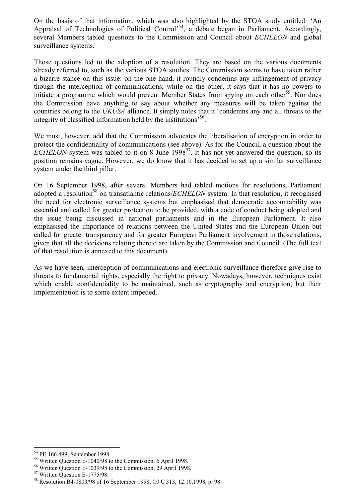On the basis of that information, which was also highlighted by the STOA study entitled: 'An Appraisal of Technologies of Political Control<sup>554</sup>, a debate began in Parliament. Accordingly, several Members tabled questions to the Commission and Council about *ECHELON* and global surveillance systems.

Those questions led to the adoption of a resolution. They are based on the various documents already referred to, such as the various STOA studies. The Commission seems to have taken rather a bizarre stance on this issue: on the one hand, it roundly condemns any infringement of privacy though the interception of communications, while on the other, it says that it has no powers to initiate a programme which would prevent Member States from spying on each other<sup>55</sup>. Nor does the Commission have anything to say about whether any measures will be taken against the countries belong to the *UKUSA* alliance. It simply notes that it 'condemns any and all threats to the integrity of classified information held by the institutions<sup>56</sup>.

We must, however, add that the Commission advocates the liberalisation of encryption in order to protect the confidentiality of communications (see above). As for the Council, a question about the *ECHELON* system was tabled to it on 8 June 1998<sup>57</sup>. It has not yet answered the question, so its position remains vague. However, we do know that it has decided to set up a similar surveillance system under the third pillar.

On 16 September 1998, after several Members had tabled motions for resolutions, Parliament adopted a resolution<sup>58</sup> on transatlantic relations/*ECHELON* system. In that resolution, it recognised the need for electronic surveillance systems but emphasised that democratic accountability was essential and called for greater protection to be provided, with a code of conduct being adopted and the issue being discussed in national parliaments and in the European Parliament. It also emphasised the importance of relations between the United States and the European Union but called for greater transparency and for greater European Parliament involvement in those relations, given that all the decisions relating thereto are taken by the Commission and Council. (The full text of that resolution is annexed to this document).

As we have seen, interception of communications and electronic surveillance therefore give rise to threats to fundamental rights, especially the right to privacy. Nowadays, however, techniques exist which enable confidentiality to be maintained, such as cryptography and encryption, but their implementation is to some extent impeded.

<sup>54</sup> PE 166.499, September 1998.

<sup>55</sup> Written Question E-1040/98 to the Commission, 6 April 1998.

<sup>56</sup> Written Question E-1039/98 to the Commission, 29 April 1998.

<sup>57</sup> Written Question E-1775/98.

<sup>58</sup> Resolution B4-0803/98 of 16 September 1998, OJ C 313, 12.10.1998, p. 98.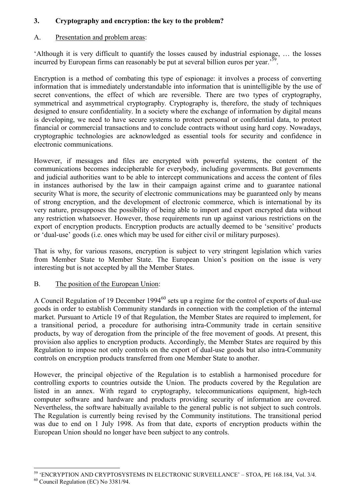## **3. Cryptography and encryption: the key to the problem?**

## A. Presentation and problem areas:

Although it is very difficult to quantify the losses caused by industrial espionage, ... the losses incurred by European firms can reasonably be put at several billion euros per year.<sup> $59$ </sup>.

Encryption is a method of combating this type of espionage: it involves a process of converting information that is immediately understandable into information that is unintelligible by the use of secret conventions, the effect of which are reversible. There are two types of cryptography, symmetrical and asymmetrical cryptography. Cryptography is, therefore, the study of techniques designed to ensure confidentiality. In a society where the exchange of information by digital means is developing, we need to have secure systems to protect personal or confidential data, to protect financial or commercial transactions and to conclude contracts without using hard copy. Nowadays, cryptographic technologies are acknowledged as essential tools for security and confidence in electronic communications.

However, if messages and files are encrypted with powerful systems, the content of the communications becomes indecipherable for everybody, including governments. But governments and judicial authorities want to be able to intercept communications and access the content of files in instances authorised by the law in their campaign against crime and to guarantee national security What is more, the security of electronic communications may be guaranteed only by means of strong encryption, and the development of electronic commerce, which is international by its very nature, presupposes the possibility of being able to import and export encrypted data without any restriction whatsoever. However, those requirements run up against various restrictions on the export of encryption products. Encryption products are actually deemed to be 'sensitive' products or 'dual-use' goods (i.e. ones which may be used for either civil or military purposes).

That is why, for various reasons, encryption is subject to very stringent legislation which varies from Member State to Member State. The European Union's position on the issue is very interesting but is not accepted by all the Member States.

### B. The position of the European Union:

A Council Regulation of 19 December 1994<sup>60</sup> sets up a regime for the control of exports of dual-use goods in order to establish Community standards in connection with the completion of the internal market. Pursuant to Article 19 of that Regulation, the Member States are required to implement, for a transitional period, a procedure for authorising intra-Community trade in certain sensitive products, by way of derogation from the principle of the free movement of goods. At present, this provision also applies to encryption products. Accordingly, the Member States are required by this Regulation to impose not only controls on the export of dual-use goods but also intra-Community controls on encryption products transferred from one Member State to another.

However, the principal objective of the Regulation is to establish a harmonised procedure for controlling exports to countries outside the Union. The products covered by the Regulation are listed in an annex. With regard to cryptography, telecommunications equipment, high-tech computer software and hardware and products providing security of information are covered. Nevertheless, the software habitually available to the general public is not subject to such controls. The Regulation is currently being revised by the Community institutions. The transitional period was due to end on 1 July 1998. As from that date, exports of encryption products within the European Union should no longer have been subject to any controls.

<sup>&</sup>lt;sup>59</sup> 'ENCRYPTION AND CRYPTOSYSTEMS IN ELECTRONIC SURVEILLANCE' – STOA, PE 168.184, Vol. 3/4.

<sup>60</sup> Council Regulation (EC) No 3381/94.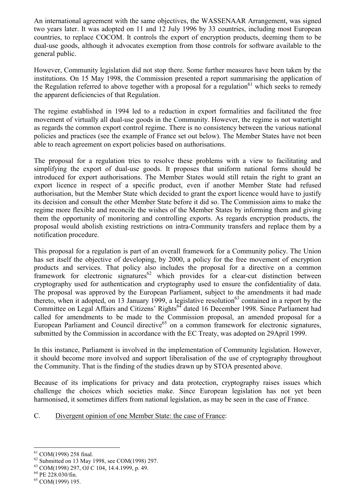An international agreement with the same objectives, the WASSENAAR Arrangement, was signed two years later. It was adopted on 11 and 12 July 1996 by 33 countries, including most European countries, to replace COCOM. It controls the export of encryption products, deeming them to be dual-use goods, although it advocates exemption from those controls for software available to the general public.

However, Community legislation did not stop there. Some further measures have been taken by the institutions. On 15 May 1998, the Commission presented a report summarising the application of the Regulation referred to above together with a proposal for a regulation<sup>61</sup> which seeks to remedy the apparent deficiencies of that Regulation.

The regime established in 1994 led to a reduction in export formalities and facilitated the free movement of virtually all dual-use goods in the Community. However, the regime is not watertight as regards the common export control regime. There is no consistency between the various national policies and practices (see the example of France set out below). The Member States have not been able to reach agreement on export policies based on authorisations.

The proposal for a regulation tries to resolve these problems with a view to facilitating and simplifying the export of dual-use goods. It proposes that uniform national forms should be introduced for export authorisations. The Member States would still retain the right to grant an export licence in respect of a specific product, even if another Member State had refused authorisation, but the Member State which decided to grant the export licence would have to justify its decision and consult the other Member State before it did so. The Commission aims to make the regime more flexible and reconcile the wishes of the Member States by informing them and giving them the opportunity of monitoring and controlling exports. As regards encryption products, the proposal would abolish existing restrictions on intra-Community transfers and replace them by a notification procedure.

This proposal for a regulation is part of an overall framework for a Community policy. The Union has set itself the objective of developing, by 2000, a policy for the free movement of encryption products and services. That policy also includes the proposal for a directive on a common framework for electronic signatures<sup>62</sup> which provides for a clear-cut distinction between cryptography used for authentication and cryptography used to ensure the confidentiality of data. The proposal was approved by the European Parliament, subject to the amendments it had made thereto, when it adopted, on 13 January 1999, a legislative resolution<sup>63</sup> contained in a report by the Committee on Legal Affairs and Citizens' Rights<sup>64</sup> dated 16 December 1998. Since Parliament had called for amendments to be made to the Commission proposal, an amended proposal for a European Parliament and Council directive<sup>65</sup> on a common framework for electronic signatures, submitted by the Commission in accordance with the EC Treaty, was adopted on 29April 1999.

In this instance, Parliament is involved in the implementation of Community legislation. However, it should become more involved and support liberalisation of the use of cryptography throughout the Community. That is the finding of the studies drawn up by STOA presented above.

Because of its implications for privacy and data protection, cryptography raises issues which challenge the choices which societies make. Since European legislation has not yet been harmonised, it sometimes differs from national legislation, as may be seen in the case of France.

C. Divergent opinion of one Member State: the case of France:

 $\overline{a}$ 61 COM(1998) 258 final.

<sup>62</sup> Submitted on 13 May 1998, see COM(1998) 297.

<sup>63</sup> COM(1998) 297, OJ C 104, 14.4.1999, p. 49.

<sup>64</sup> PE 228.030/fin.

<sup>65</sup> COM(1999) 195.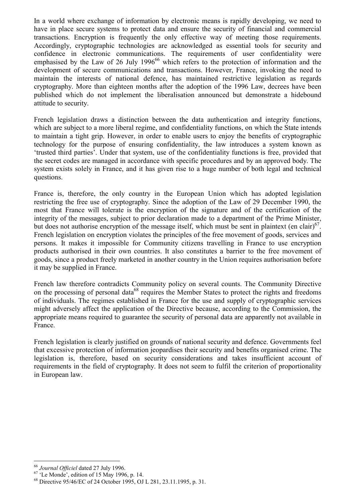In a world where exchange of information by electronic means is rapidly developing, we need to have in place secure systems to protect data and ensure the security of financial and commercial transactions. Encryption is frequently the only effective way of meeting those requirements. Accordingly, cryptographic technologies are acknowledged as essential tools for security and confidence in electronic communications. The requirements of user confidentiality were emphasised by the Law of 26 July 1996<sup>66</sup> which refers to the protection of information and the development of secure communications and transactions. However, France, invoking the need to maintain the interests of national defence, has maintained restrictive legislation as regards cryptography. More than eighteen months after the adoption of the 1996 Law, decrees have been published which do not implement the liberalisation announced but demonstrate a hidebound attitude to security.

French legislation draws a distinction between the data authentication and integrity functions, which are subject to a more liberal regime, and confidentiality functions, on which the State intends to maintain a tight grip. However, in order to enable users to enjoy the benefits of cryptographic technology for the purpose of ensuring confidentiality, the law introduces a system known as ëtrusted third partiesí. Under that system, use of the confidentiality functions is free, provided that the secret codes are managed in accordance with specific procedures and by an approved body. The system exists solely in France, and it has given rise to a huge number of both legal and technical questions.

France is, therefore, the only country in the European Union which has adopted legislation restricting the free use of cryptography. Since the adoption of the Law of 29 December 1990, the most that France will tolerate is the encryption of the signature and of the certification of the integrity of the messages, subject to prior declaration made to a department of the Prime Minister, but does not authorise encryption of the message itself, which must be sent in plaintext (en clair) $^{67}$ . French legislation on encryption violates the principles of the free movement of goods, services and persons. It makes it impossible for Community citizens travelling in France to use encryption products authorised in their own countries. It also constitutes a barrier to the free movement of goods, since a product freely marketed in another country in the Union requires authorisation before it may be supplied in France.

French law therefore contradicts Community policy on several counts. The Community Directive on the processing of personal data<sup>68</sup> requires the Member States to protect the rights and freedoms of individuals. The regimes established in France for the use and supply of cryptographic services might adversely affect the application of the Directive because, according to the Commission, the appropriate means required to guarantee the security of personal data are apparently not available in France.

French legislation is clearly justified on grounds of national security and defence. Governments feel that excessive protection of information jeopardises their security and benefits organised crime. The legislation is, therefore, based on security considerations and takes insufficient account of requirements in the field of cryptography. It does not seem to fulfil the criterion of proportionality in European law.

 $\overline{a}$ 

<sup>&</sup>lt;sup>66</sup> *Journal Officiel* dated 27 July 1996.<br><sup>67</sup> 'Le Monde', edition of 15 May 1996, p. 14.

<sup>68</sup> Directive 95/46/EC of 24 October 1995, OJ L 281, 23.11.1995, p. 31.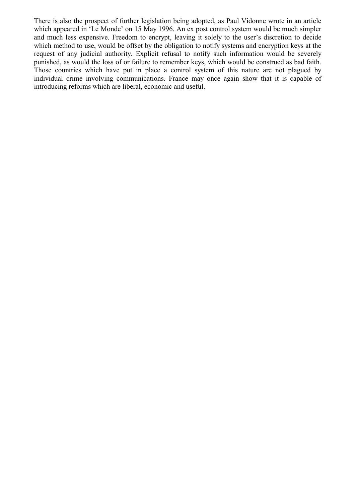There is also the prospect of further legislation being adopted, as Paul Vidonne wrote in an article which appeared in 'Le Monde' on 15 May 1996. An ex post control system would be much simpler and much less expensive. Freedom to encrypt, leaving it solely to the user's discretion to decide which method to use, would be offset by the obligation to notify systems and encryption keys at the request of any judicial authority. Explicit refusal to notify such information would be severely punished, as would the loss of or failure to remember keys, which would be construed as bad faith. Those countries which have put in place a control system of this nature are not plagued by individual crime involving communications. France may once again show that it is capable of introducing reforms which are liberal, economic and useful.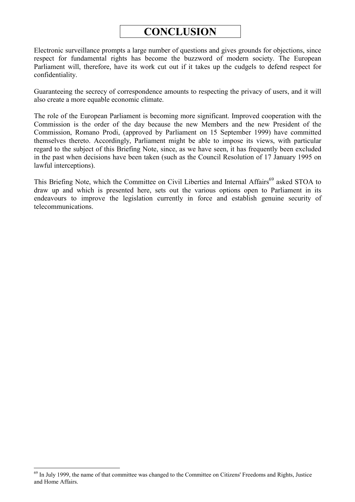## **CONCLUSION**

Electronic surveillance prompts a large number of questions and gives grounds for objections, since respect for fundamental rights has become the buzzword of modern society. The European Parliament will, therefore, have its work cut out if it takes up the cudgels to defend respect for confidentiality.

Guaranteeing the secrecy of correspondence amounts to respecting the privacy of users, and it will also create a more equable economic climate.

The role of the European Parliament is becoming more significant. Improved cooperation with the Commission is the order of the day because the new Members and the new President of the Commission, Romano Prodi, (approved by Parliament on 15 September 1999) have committed themselves thereto. Accordingly, Parliament might be able to impose its views, with particular regard to the subject of this Briefing Note, since, as we have seen, it has frequently been excluded in the past when decisions have been taken (such as the Council Resolution of 17 January 1995 on lawful interceptions).

This Briefing Note, which the Committee on Civil Liberties and Internal Affairs<sup>69</sup> asked STOA to draw up and which is presented here, sets out the various options open to Parliament in its endeavours to improve the legislation currently in force and establish genuine security of telecommunications.

<sup>&</sup>lt;sup>69</sup> In July 1999, the name of that committee was changed to the Committee on Citizens' Freedoms and Rights, Justice and Home Affairs.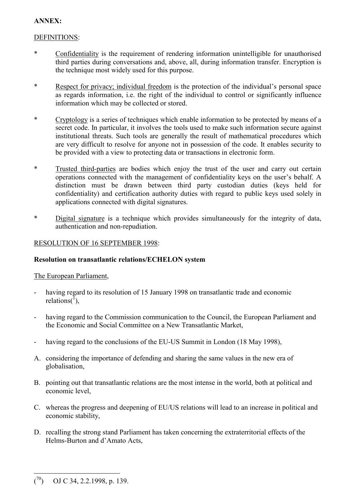## **ANNEX:**

## DEFINITIONS:

- \* Confidentiality is the requirement of rendering information unintelligible for unauthorised third parties during conversations and, above, all, during information transfer. Encryption is the technique most widely used for this purpose.
- \* Respect for privacy; individual freedom is the protection of the individual's personal space as regards information, i.e. the right of the individual to control or significantly influence information which may be collected or stored.
- \* Cryptology is a series of techniques which enable information to be protected by means of a secret code. In particular, it involves the tools used to make such information secure against institutional threats. Such tools are generally the result of mathematical procedures which are very difficult to resolve for anyone not in possession of the code. It enables security to be provided with a view to protecting data or transactions in electronic form.
- \* Trusted third-parties are bodies which enjoy the trust of the user and carry out certain operations connected with the management of confidentiality keys on the user's behalf. A distinction must be drawn between third party custodian duties (keys held for confidentiality) and certification authority duties with regard to public keys used solely in applications connected with digital signatures.
- \* Digital signature is a technique which provides simultaneously for the integrity of data, authentication and non-repudiation.

## RESOLUTION OF 16 SEPTEMBER 1998:

## **Resolution on transatlantic relations/ECHELON system**

### The European Parliament,

- having regard to its resolution of 15 January 1998 on transatlantic trade and economic relations( $\bar{1}$ ),
- having regard to the Commission communication to the Council, the European Parliament and the Economic and Social Committee on a New Transatlantic Market,
- having regard to the conclusions of the EU-US Summit in London (18 May 1998),
- A. considering the importance of defending and sharing the same values in the new era of globalisation,
- B. pointing out that transatlantic relations are the most intense in the world, both at political and economic level,
- C. whereas the progress and deepening of EU/US relations will lead to an increase in political and economic stability,
- D. recalling the strong stand Parliament has taken concerning the extraterritorial effects of the Helms-Burton and d'Amato Acts.

 $\overline{a}$ ( OJ C 34, 2.2.1998, p. 139.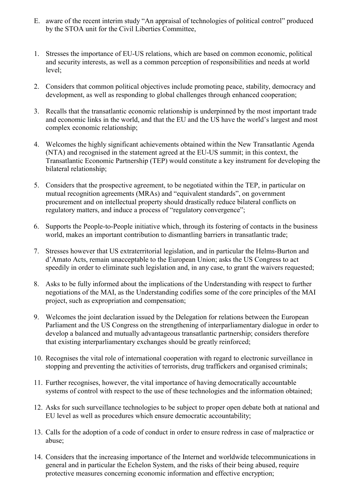- E. aware of the recent interim study "An appraisal of technologies of political control" produced by the STOA unit for the Civil Liberties Committee,
- 1. Stresses the importance of EU-US relations, which are based on common economic, political and security interests, as well as a common perception of responsibilities and needs at world  $level$
- 2. Considers that common political objectives include promoting peace, stability, democracy and development, as well as responding to global challenges through enhanced cooperation;
- 3. Recalls that the transatlantic economic relationship is underpinned by the most important trade and economic links in the world, and that the EU and the US have the world's largest and most complex economic relationship;
- 4. Welcomes the highly significant achievements obtained within the New Transatlantic Agenda (NTA) and recognised in the statement agreed at the EU-US summit; in this context, the Transatlantic Economic Partnership (TEP) would constitute a key instrument for developing the bilateral relationship;
- 5. Considers that the prospective agreement, to be negotiated within the TEP, in particular on mutual recognition agreements (MRAs) and "equivalent standards", on government procurement and on intellectual property should drastically reduce bilateral conflicts on regulatory matters, and induce a process of "regulatory convergence";
- 6. Supports the People-to-People initiative which, through its fostering of contacts in the business world, makes an important contribution to dismantling barriers in transatlantic trade;
- 7. Stresses however that US extraterritorial legislation, and in particular the Helms-Burton and d'Amato Acts, remain unacceptable to the European Union; asks the US Congress to act speedily in order to eliminate such legislation and, in any case, to grant the waivers requested;
- 8. Asks to be fully informed about the implications of the Understanding with respect to further negotiations of the MAI, as the Understanding codifies some of the core principles of the MAI project, such as expropriation and compensation;
- 9. Welcomes the joint declaration issued by the Delegation for relations between the European Parliament and the US Congress on the strengthening of interparliamentary dialogue in order to develop a balanced and mutually advantageous transatlantic partnership; considers therefore that existing interparliamentary exchanges should be greatly reinforced;
- 10. Recognises the vital role of international cooperation with regard to electronic surveillance in stopping and preventing the activities of terrorists, drug traffickers and organised criminals;
- 11. Further recognises, however, the vital importance of having democratically accountable systems of control with respect to the use of these technologies and the information obtained;
- 12. Asks for such surveillance technologies to be subject to proper open debate both at national and EU level as well as procedures which ensure democratic accountability;
- 13. Calls for the adoption of a code of conduct in order to ensure redress in case of malpractice or abuse;
- 14. Considers that the increasing importance of the Internet and worldwide telecommunications in general and in particular the Echelon System, and the risks of their being abused, require protective measures concerning economic information and effective encryption;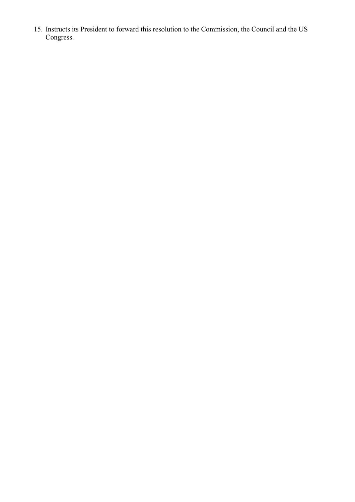15. Instructs its President to forward this resolution to the Commission, the Council and the US Congress.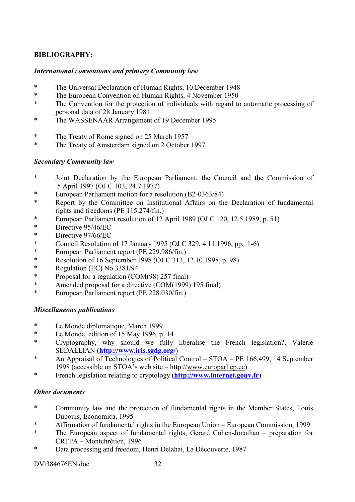## **BIBLIOGRAPHY:**

#### *International conventions and primary Community law*

- \* The Universal Declaration of Human Rights, 10 December 1948
- \* The European Convention on Human Rights, 4 November 1950
- \* The Convention for the protection of individuals with regard to automatic processing of personal data of 28 January 1981
- \* The WASSENAAR Arrangement of 19 December 1995
- \* The Treaty of Rome signed on 25 March 1957
- \* The Treaty of Amsterdam signed on 2 October 1997

#### *Secondary Community law*

- \* Joint Declaration by the European Parliament, the Council and the Commission of 5 April 1997 (OJ C 103, 24.7.1977)
- \* European Parliament motion for a resolution (B2-0363/84)
- \* Report by the Committee on Institutional Affairs on the Declaration of fundamental rights and freedoms (PE 115.274/fin.)
- European Parliament resolution of  $12$  April 1989 (OJ C 120, 12.5.1989, p. 51)
- \* Directive 95/46/EC
- \* Directive 97/66/EC
- \* Council Resolution of 17 January 1995 (OJ C 329, 4.11.1996, pp. 1-6)
- \* European Parliament report (PE 229.986/fin.)
- \* Resolution of 16 September 1998 (OJ C 313, 12.10.1998, p. 98)
- \* Regulation (EC) No 3381/94
- \* Proposal for a regulation (COM(98) 257 final)
- Amended proposal for a directive (COM(1999) 195 final)
- \* European Parliament report (PE 228.030/fin.)

### *Miscellaneous publications*

- \* Le Monde diplomatique, March 1999
- \* Le Monde, edition of 15 May 1996, p. 14
- \* Cryptography, why should we fully liberalise the French legislation?, ValÈrie SEDALLIAN (**[http://www.iris.sgdg.org/](http://wwwiris.sgdg.org/)**)
- \* An Appraisal of Technologies of Political Control  $STOA PE$  166.499, 14 September 1998 (accessible on STOA's web site – http://www.europarl.ep.ec)
- \* French legislation relating to cryptology (**[http://www.internet.gouv.fr](http://www.initernet.gouv.fr/)**)

#### *Other documents*

- \* Community law and the protection of fundamental rights in the Member States, Louis Dubouis, Economica, 1995
- \* Affirmation of fundamental rights in the European Union European Commission, 1999
- \* The European aspect of fundamental rights, Gérard Cohen-Jonathan preparation for CRFPA - Montchrétien, 1996
- \* Data processing and freedom, Henri Delahai, La DÈcouverte, 1987

#### DV\384676EN doc 32